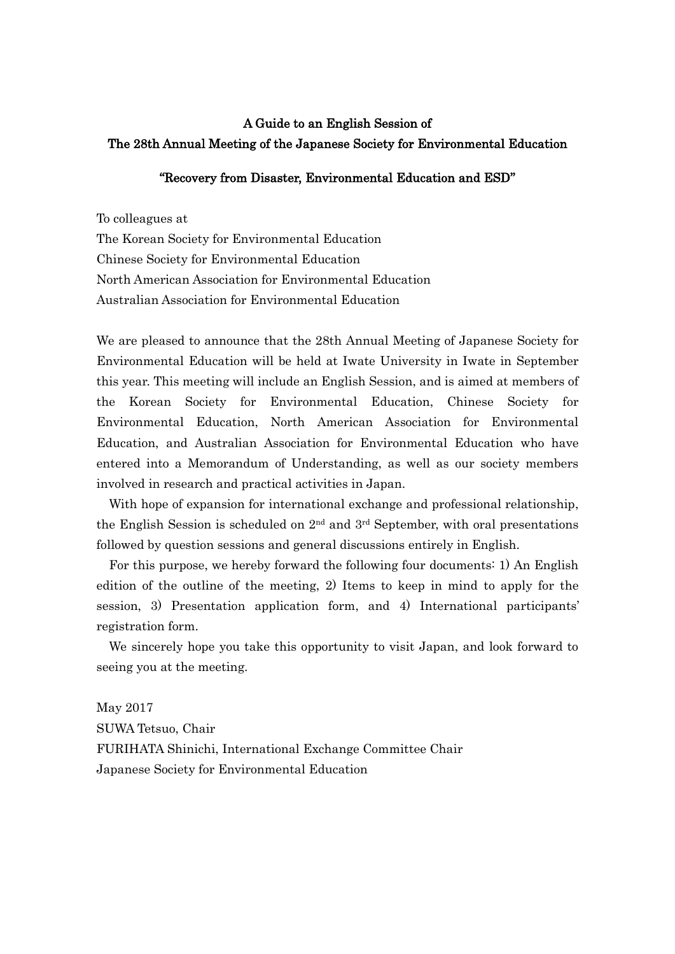# A Guide to an English Session of The 28th Annual Meeting of the Japanese Society for Environmental Education

#### "Recovery from Disaster, Environmental Education and ESD"

To colleagues at

The Korean Society for Environmental Education Chinese Society for Environmental Education North American Association for Environmental Education Australian Association for Environmental Education

We are pleased to announce that the 28th Annual Meeting of Japanese Society for Environmental Education will be held at Iwate University in Iwate in September this year. This meeting will include an English Session, and is aimed at members of the Korean Society for Environmental Education, Chinese Society for Environmental Education, North American Association for Environmental Education, and Australian Association for Environmental Education who have entered into a Memorandum of Understanding, as well as our society members involved in research and practical activities in Japan.

With hope of expansion for international exchange and professional relationship, the English Session is scheduled on  $2<sup>nd</sup>$  and  $3<sup>rd</sup>$  September, with oral presentations followed by question sessions and general discussions entirely in English.

For this purpose, we hereby forward the following four documents: 1) An English edition of the outline of the meeting, 2) Items to keep in mind to apply for the session, 3) Presentation application form, and 4) International participants' registration form.

We sincerely hope you take this opportunity to visit Japan, and look forward to seeing you at the meeting.

May 2017 SUWA Tetsuo, Chair FURIHATA Shinichi, International Exchange Committee Chair Japanese Society for Environmental Education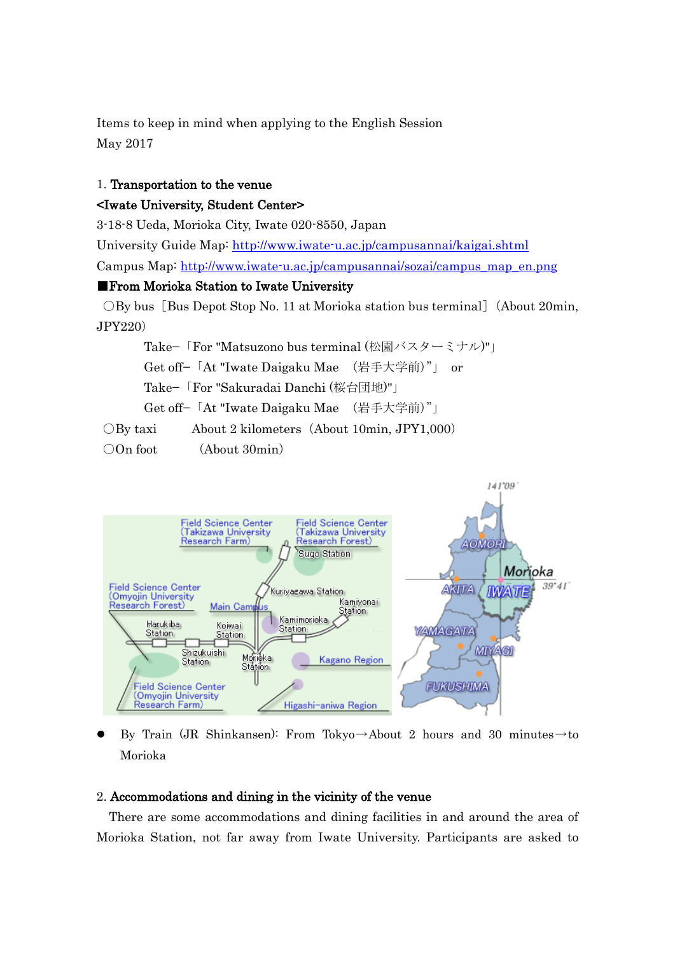Items to keep in mind when applying to the English Session May 2017

## 1. Transportation to the venue

### <Iwate University, Student Center>

3-18-8 Ueda, Morioka City, Iwate 020-8550, Japan

University Guide Map:<http://www.iwate-u.ac.jp/campusannai/kaigai.shtml> Campus Map: [http://www.iwate-u.ac.jp/campusannai/sozai/campus\\_map\\_en.png](http://www.iwate-u.ac.jp/campusannai/sozai/campus_map_en.png)

## ■From Morioka Station to Iwate University

OBy bus [Bus Depot Stop No. 11 at Morioka station bus terminal] (About 20min, JPY220)

Take−「For "Matsuzono bus terminal (松園バスターミナル)"」 Get off−「At "Iwate Daigaku Mae (岩手大学前)"」 or Take−「For "Sakuradai Danchi (桜台団地)"」 Get off−「At "Iwate Daigaku Mae (岩手大学前)"」 ○By taxi About 2 kilometers(About 10min, JPY1,000)

○On foot (About 30min)



By Train (JR Shinkansen): From Tokyo→About 2 hours and 30 minutes→to Morioka

### 2. Accommodations and dining in the vicinity of the venue

 There are some accommodations and dining facilities in and around the area of Morioka Station, not far away from Iwate University. Participants are asked to